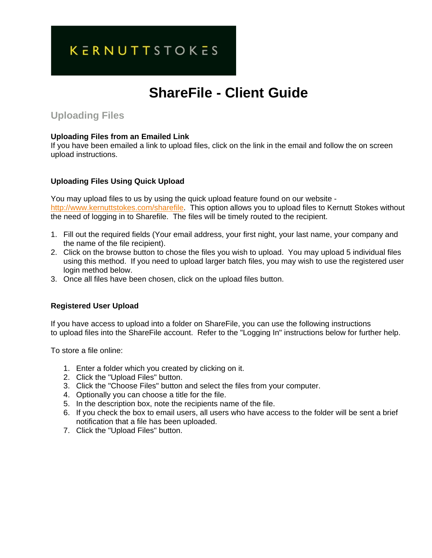## **KERNUTTSTOKES**

# **ShareFile - Client Guide**

### **Uploading Files**

#### **Uploading Files from an Emailed Link**

If you have been emailed a link to upload files, click on the link in the email and follow the on screen upload instructions.

#### **Uploading Files Using Quick Upload**

You may upload files to us by using the quick upload feature found on our website http://www.kernuttstokes.com/sharefile. This option allows you to upload files to Kernutt Stokes without the need of logging in to Sharefile. The files will be timely routed to the recipient.

- 1. Fill out the required fields (Your email address, your first night, your last name, your company and the name of the file recipient).
- 2. Click on the browse button to chose the files you wish to upload. You may upload 5 individual files using this method. If you need to upload larger batch files, you may wish to use the registered user login method below.
- 3. Once all files have been chosen, click on the upload files button.

#### **Registered User Upload**

If you have access to upload into a folder on ShareFile, you can use the following instructions to upload files into the ShareFile account. Refer to the "Logging In" instructions below for further help.

To store a file online:

- 1. Enter a folder which you created by clicking on it.
- 2. Click the "Upload Files" button.
- 3. Click the "Choose Files" button and select the files from your computer.
- 4. Optionally you can choose a title for the file.
- 5. In the description box, note the recipients name of the file.
- 6. If you check the box to email users, all users who have access to the folder will be sent a brief notification that a file has been uploaded.
- 7. Click the "Upload Files" button.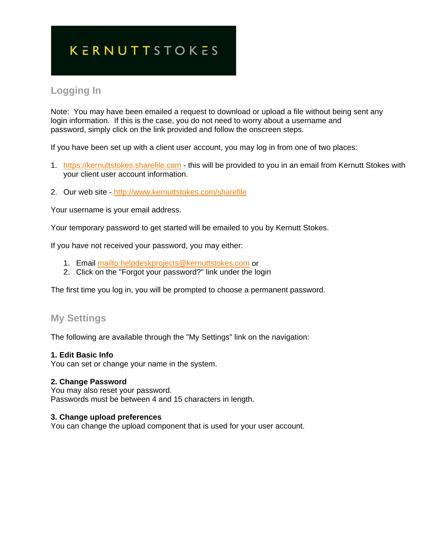# **KERNUTTSTOKES**

## **Logging In**

Note: You may have been emailed a request to download or upload a file without being sent any login information. If this is the case, you do not need to worry about a username and password, simply click on the link provided and follow the onscreen steps.

If you have been set up with a client user account, you may log in from one of two places:

- 1. https://kernuttstokes.sharefile.com this will be provided to you in an email from Kernutt Stokes with your client user account information.
- 2. Our web site http://www.kernuttstokes.com/sharefile

Your username is your email address.

Your temporary password to get started will be emailed to you by Kernutt Stokes.

If you have not received your password, you may either:

- 1. Email mailto:helpdeskprojects@kernuttstokes.com or
- 2. Click on the "Forgot your password?" link under the login

The first time you log in, you will be prompted to choose a permanent password.

### **My Settings**

The following are available through the "My Settings" link on the navigation:

#### **1. Edit Basic Info**

You can set or change your name in the system.

#### **2. Change Password**

You may also reset your password. Passwords must be between 4 and 15 characters in length.

#### **3. Change upload preferences**

You can change the upload component that is used for your user account.